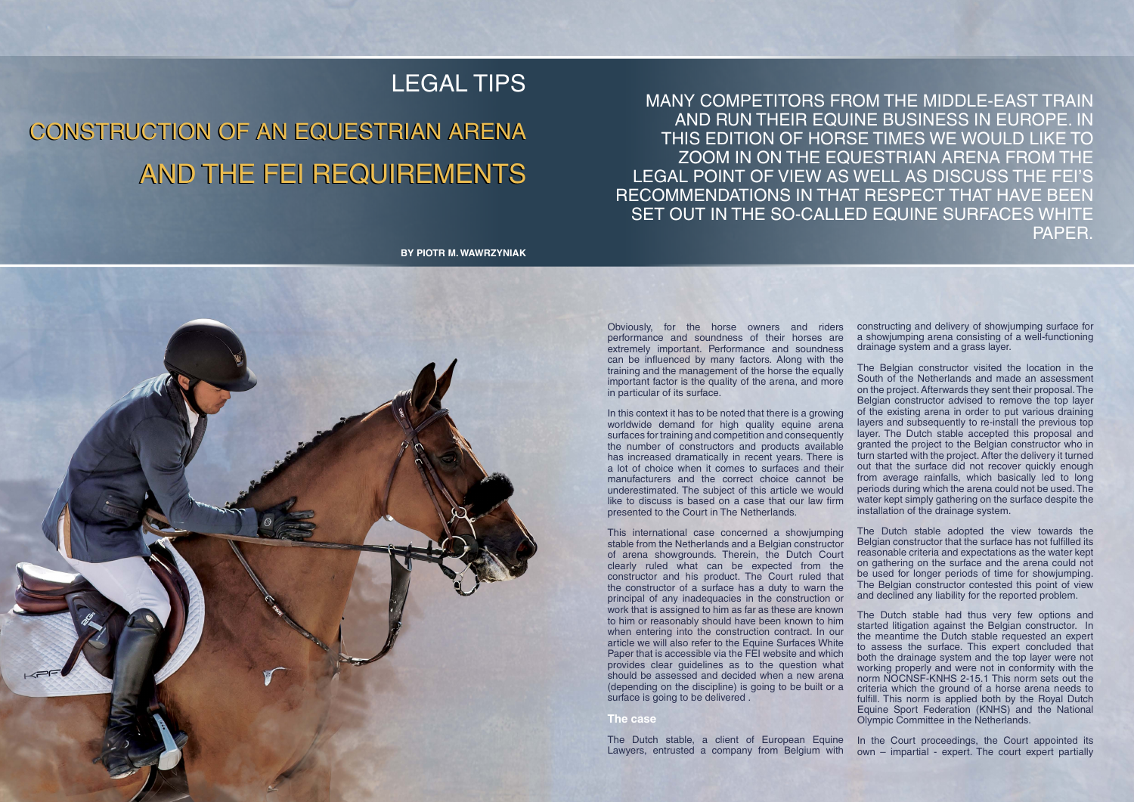## LEGAL TIPS

## Construction of an Equestrian Arena Construction of an Equestrian Arena AND THE FEI REQUIREMENT

Many competitors from the Middle-East train and run their equine business in Europe. In THIS EDITION OF HORSE TIMES WE WOULD LIKE TO zoom in on the equestrian arena from the legal point of view as well as discuss the FEI's recommendations in that respect that have been SET OUT IN THE SO-CALLED EQUINE SURFACES WHITE PAPER.

**By Piotr M. Wawrzyniak**



Obviously, for the horse owners and riders performance and soundness of their horses are extremely important. Performance and soundness can be influenced by many factors. Along with the training and the management of the horse the equally important factor is the quality of the arena, and more in particular of its surface.

In this context it has to be noted that there is a growing worldwide demand for high quality equine arena surfaces for training and competition and consequently the number of constructors and products available has increased dramatically in recent years. There is a lot of choice when it comes to surfaces and their manufacturers and the correct choice cannot be underestimated. The subject of this article we would like to discuss is based on a case that our law firm presented to the Court in The Netherlands.

constructing and delivery of showjumping surface for a showjumping arena consisting of a well-functioning drainage system and a grass layer.

This international case concerned a showjumping stable from the Netherlands and a Belgian constructor of arena showgrounds. Therein, the Dutch Court clearly ruled what can be expected from the constructor and his product. The Court ruled that the constructor of a surface has a duty to warn the principal of any inadequacies in the construction or work that is assigned to him as far as these are known to him or reasonably should have been known to him when entering into the construction contract. In our article we will also refer to the Equine Surfaces White Paper that is accessible via the FEI website and which provides clear guidelines as to the question what should be assessed and decided when a new arena (depending on the discipline) is going to be built or a surface is going to be delivered. **The case** The Dutch stable adopted the view towards the Belgian constructor that the surface has not fulfilled its reasonable criteria and expectations as the water kept on gathering on the surface and the arena could not be used for longer periods of time for showjumping. The Belgian constructor contested this point of view and declined any liability for the reported problem. The Dutch stable had thus very few options and started litigation against the Belgian constructor. In the meantime the Dutch stable requested an expert to assess the surface. This expert concluded that both the drainage system and the top layer were not working properly and were not in conformity with the norm NOCNSF-KNHS 2-15.1 This norm sets out the criteria which the ground of a horse arena needs to fulfill. This norm is applied both by the Royal Dutch Equine Sport Federation (KNHS) and the National Olympic Committee in the Netherlands.

The Belgian constructor visited the location in the South of the Netherlands and made an assessment on the project. Afterwards they sent their proposal. The Belgian constructor advised to remove the top layer of the existing arena in order to put various draining layers and subsequently to re-install the previous top layer. The Dutch stable accepted this proposal and granted the project to the Belgian constructor who in turn started with the project. After the delivery it turned out that the surface did not recover quickly enough from average rainfalls, which basically led to long periods during which the arena could not be used. The water kept simply gathering on the surface despite the installation of the drainage system.

The Dutch stable, a client of European Equine Lawyers, entrusted a company from Belgium with In the Court proceedings, the Court appointed its own – impartial - expert. The court expert partially